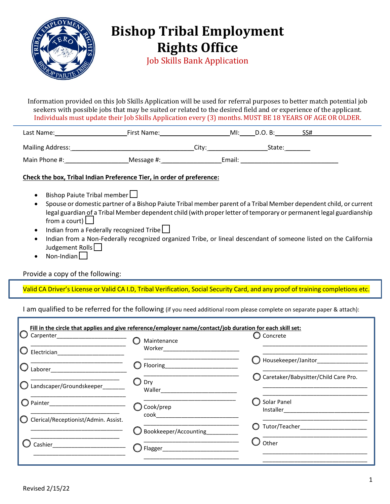

## **Bishop Tribal Employment Rights Office**

Job Skills Bank Application

Information provided on this Job Skills Application will be used for referral purposes to better match potential job seekers with possible jobs that may be suited or related to the desired field and or experience of the applicant. Individuals must update their Job Skills Application every (3) months. MUST BE 18 YEARS OF AGE OR OLDER.

| Last Name:              | First Name: |                   | $M!$ : | D.O. B: | SS# |  |
|-------------------------|-------------|-------------------|--------|---------|-----|--|
| <b>Mailing Address:</b> |             | City <sup>-</sup> |        | State:  |     |  |
| Main Phone #:           | Message #:  |                   | Email: |         |     |  |

## **Check the box, Tribal Indian Preference Tier, in order of preference:**

- Bishop Paiute Tribal member $\Box$
- Spouse or domestic partner of a Bishop Paiute Tribal member parent of a Tribal Member dependent child, or current legal guardian of a Tribal Member dependent child (with proper letter of temporary or permanent legal guardianship from a court)  $\Box$
- Indian from a Federally recognized Tribe
- Indian from a Non-Federally recognized organized Tribe, or lineal descendant of someone listed on the California Judgement Rolls
- Non-Indian $\Box$

## Provide a copy of the following:

Valid CA Driver's License or Valid CA I.D, Tribal Verification, Social Security Card, and any proof of training completions etc.

I am qualified to be referred for the following (if you need additional room please complete on separate paper & attach):

| Carpenter________________________<br>Electrician | Fill in the circle that applies and give reference/employer name/contact/job duration for each skill set:<br>Maintenance<br>Worker | Concrete                             |
|--------------------------------------------------|------------------------------------------------------------------------------------------------------------------------------------|--------------------------------------|
| Laborer                                          | Flooring___________                                                                                                                | Housekeeper/Janitor                  |
| Landscaper/Groundskeeper                         | Drv<br>Waller                                                                                                                      | Caretaker/Babysitter/Child Care Pro. |
|                                                  | Cook/prep<br>cook                                                                                                                  | Solar Panel                          |
| Clerical/Receptionist/Admin. Assist.             | Bookkeeper/Accounting                                                                                                              | Tutor/Teacher                        |
| Cashier                                          | Flagger_                                                                                                                           | Other                                |